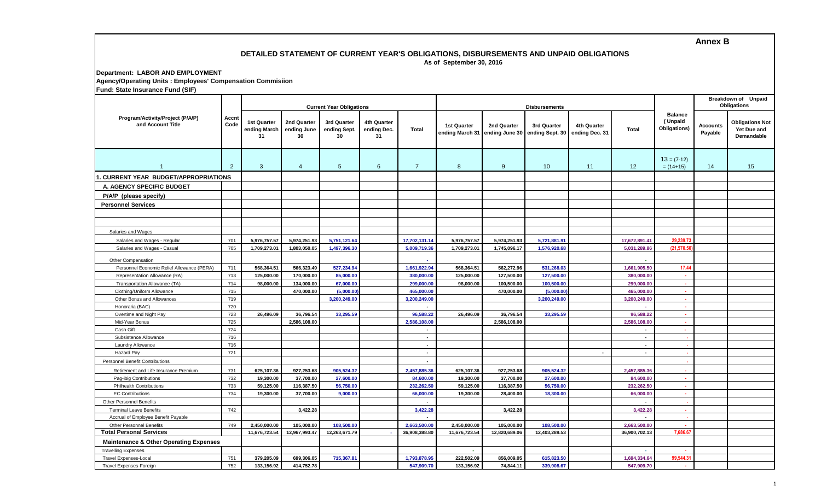## **Annex B**

## **DETAILED STATEMENT OF CURRENT YEAR'S OBLIGATIONS, DISBURSEMENTS AND UNPAID OBLIGATIONS As of September 30, 2016**

## **Department: LABOR AND EMPLOYMENT Agency/Operating Units : Employees' Compensation Commisiion Fund: State Insurance Fund (SIF)**

| Funu. Jiale msurance Funu (JiF)                             |                |                                          |                                  |                                   |                                         |                |                                       |               |                                               |                               |                |                                           |                            |                                                     |
|-------------------------------------------------------------|----------------|------------------------------------------|----------------------------------|-----------------------------------|-----------------------------------------|----------------|---------------------------------------|---------------|-----------------------------------------------|-------------------------------|----------------|-------------------------------------------|----------------------------|-----------------------------------------------------|
| Program/Activity/Project (P/A/P)<br>and Account Title       | Accnt<br>Code  | <b>Current Year Obligations</b>          |                                  |                                   |                                         |                |                                       |               | Breakdown of Unpaid<br>Obligations            |                               |                |                                           |                            |                                                     |
|                                                             |                | <b>1st Quarter</b><br>ending March<br>31 | 2nd Quarter<br>ending June<br>30 | 3rd Quarter<br>ending Sept.<br>30 | <b>4th Quarter</b><br>ending Dec.<br>31 | Total          | <b>1st Quarter</b><br>ending March 31 | 2nd Quarter   | 3rd Quarter<br>ending June 30 ending Sept. 30 | 4th Quarter<br>ending Dec. 31 | <b>Total</b>   | <b>Balance</b><br>(Unpaid<br>Obligations) | <b>Accounts</b><br>Payable | <b>Obligations Not</b><br>Yet Due and<br>Demandable |
| $\overline{1}$                                              | $\overline{2}$ | $\mathbf{3}$                             | $\overline{4}$                   | $5\overline{)}$                   | $6\phantom{1}$                          | $\overline{7}$ | 8                                     | 9             | 10 <sup>°</sup>                               | 11                            | 12             | $13 = (7-12)$<br>$= (14+15)$              | 14                         | 15                                                  |
| 1. CURRENT YEAR BUDGET/APPROPRIATIONS                       |                |                                          |                                  |                                   |                                         |                |                                       |               |                                               |                               |                |                                           |                            |                                                     |
| A. AGENCY SPECIFIC BUDGET                                   |                |                                          |                                  |                                   |                                         |                |                                       |               |                                               |                               |                |                                           |                            |                                                     |
| P/A/P (please specify)                                      |                |                                          |                                  |                                   |                                         |                |                                       |               |                                               |                               |                |                                           |                            |                                                     |
| <b>Personnel Services</b>                                   |                |                                          |                                  |                                   |                                         |                |                                       |               |                                               |                               |                |                                           |                            |                                                     |
|                                                             |                |                                          |                                  |                                   |                                         |                |                                       |               |                                               |                               |                |                                           |                            |                                                     |
|                                                             |                |                                          |                                  |                                   |                                         |                |                                       |               |                                               |                               |                |                                           |                            |                                                     |
| Salaries and Wages                                          |                |                                          |                                  |                                   |                                         |                |                                       |               |                                               |                               |                |                                           |                            |                                                     |
|                                                             | 701            | 5,976,757.57                             | 5,974,251.93                     | 5,751,121.64                      |                                         | 17,702,131.14  | 5,976,757.57                          | 5,974,251.93  |                                               |                               | 17,672,891.41  | 29,239.73                                 |                            |                                                     |
| Salaries and Wages - Regular<br>Salaries and Wages - Casual | 705            | 1,709,273.01                             | 1,803,050.05                     | 1,497,396.30                      |                                         | 5,009,719.36   | 1,709,273.01                          | 1,745,096.17  | 5,721,881.91<br>1,576,920.68                  |                               | 5,031,289.86   | (21,570.50)                               |                            |                                                     |
|                                                             |                |                                          |                                  |                                   |                                         |                |                                       |               |                                               |                               |                |                                           |                            |                                                     |
| Other Compensation                                          |                |                                          |                                  |                                   |                                         |                |                                       |               |                                               |                               |                |                                           |                            |                                                     |
| Personnel Economic Relief Allowance (PERA)                  | 711            | 568,364.51                               | 566,323.49                       | 527,234.94                        |                                         | 1,661,922.94   | 568,364.51                            | 562,272.96    | 531,268.03                                    |                               | 1,661,905.50   | 17.44                                     |                            |                                                     |
| Representation Allowance (RA)                               | 713            | 125,000.00                               | 170,000.00                       | 85,000.00                         |                                         | 380,000.00     | 125,000.00                            | 127,500.00    | 127,500.00                                    |                               | 380,000.00     | n.                                        |                            |                                                     |
| Transportation Allowance (TA)                               | 714            | 98.000.00                                | 134,000.00                       | 67.000.00                         |                                         | 299,000.00     | 98,000.00                             | 100,500.00    | 100,500.00                                    |                               | 299.000.00     | <b>A</b>                                  |                            |                                                     |
| Clothing/Uniform Allowance                                  | 715            |                                          | 470,000.00                       | (5.000.00)                        |                                         | 465,000.00     |                                       | 470,000.00    | (5,000.00)                                    |                               | 465.000.00     | <b>A</b>                                  |                            |                                                     |
| Other Bonus and Allowances                                  | 719            |                                          |                                  | 3,200,249.00                      |                                         | 3,200,249.00   |                                       |               | 3,200,249.00                                  |                               | 3,200,249.00   | $\sim$                                    |                            |                                                     |
| Honoraria (BAC)                                             | 720            |                                          |                                  |                                   |                                         | $\blacksquare$ |                                       |               |                                               |                               | $\mathbf{r}$   | 14.1                                      |                            |                                                     |
| Overtime and Night Pay                                      | 723            | 26,496.09                                | 36,796.54                        | 33,295.59                         |                                         | 96,588.22      | 26,496.09                             | 36,796.54     | 33,295.59                                     |                               | 96,588.22      | $\sim$                                    |                            |                                                     |
| Mid-Year Bonus                                              | 725            |                                          | 2,586,108.00                     |                                   |                                         | 2,586,108.00   |                                       | 2,586,108.00  |                                               |                               | 2,586,108.00   | 14.1                                      |                            |                                                     |
| Cash Gift                                                   | 724            |                                          |                                  |                                   |                                         |                |                                       |               |                                               |                               |                | a.                                        |                            |                                                     |
| Subsistence Allowance                                       | 716            |                                          |                                  |                                   |                                         | $\sim$         |                                       |               |                                               |                               | $\sim$         | - 1                                       |                            |                                                     |
| Laundry Allowance                                           | 716            |                                          |                                  |                                   |                                         | $\sim$         |                                       |               |                                               |                               | $\sim$         |                                           |                            |                                                     |
| Hazard Pay                                                  | 721            |                                          |                                  |                                   |                                         | $\overline{a}$ |                                       |               |                                               | $\overline{\phantom{a}}$      | $\blacksquare$ |                                           |                            |                                                     |
| <b>Personnel Benefit Contributions</b>                      |                |                                          |                                  |                                   |                                         | $\blacksquare$ |                                       |               |                                               |                               |                |                                           |                            |                                                     |
| Retirement and Life Insurance Premium                       | 731            | 625,107.36                               | 927,253.68                       | 905,524.32                        |                                         | 2,457,885.36   | 625,107.36                            | 927,253.68    | 905,524.32                                    |                               | 2,457,885.36   |                                           |                            |                                                     |
| Pag-ibig Contributions                                      | 732            | 19,300.00                                | 37,700.00                        | 27,600.00                         |                                         | 84,600.00      | 19,300.00                             | 37,700.00     | 27,600.00                                     |                               | 84,600.00      | ×.                                        |                            |                                                     |
| <b>Philhealth Contributions</b>                             | 733            | 59,125.00                                | 116,387.50                       | 56,750.00                         |                                         | 232,262.50     | 59,125.00                             | 116,387.50    | 56,750.00                                     |                               | 232,262.50     | ×.                                        |                            |                                                     |
| <b>EC Contributions</b>                                     | 734            | 19,300.00                                | 37,700.00                        | 9.000.00                          |                                         | 66,000.00      | 19,300.00                             | 28.400.00     | 18,300.00                                     |                               | 66,000.00      | $\sim$                                    |                            |                                                     |
| <b>Other Personnel Benefits</b>                             |                |                                          |                                  |                                   |                                         |                |                                       |               |                                               |                               |                | r.                                        |                            |                                                     |
| <b>Terminal Leave Benefits</b>                              | 742            |                                          | 3,422.28                         |                                   |                                         | 3,422.28       |                                       | 3,422.28      |                                               |                               | 3,422.28       | n.                                        |                            |                                                     |
| Accrual of Employee Benefit Payable                         |                |                                          |                                  |                                   |                                         |                |                                       |               |                                               |                               |                | ٠.                                        |                            |                                                     |
| <b>Other Personnel Benefits</b>                             | 749            | 2,450,000.00                             | 105,000.00                       | 108,500.00                        |                                         | 2,663,500.00   | 2,450,000.00                          | 105,000.00    | 108,500.00                                    |                               | 2,663,500.00   | $\sim$                                    |                            |                                                     |
| <b>Total Personal Services</b>                              |                | 11,676,723.54                            | 12,967,993.47                    | 12,263,671.79                     |                                         | 36,908,388.80  | 11,676,723.54                         | 12,820,689.06 | 12,403,289.53                                 |                               | 36,900,702.13  | 7,686.67                                  |                            |                                                     |
| <b>Maintenance &amp; Other Operating Expenses</b>           |                |                                          |                                  |                                   |                                         |                |                                       |               |                                               |                               |                |                                           |                            |                                                     |
| <b>Travelling Expenses</b>                                  |                |                                          |                                  |                                   |                                         |                |                                       |               |                                               |                               |                |                                           |                            |                                                     |
| <b>Travel Expenses-Local</b>                                | 751            | 379,205.09                               | 699,306.05                       | 715,367.81                        |                                         | 1,793,878.95   | 222.502.09                            | 856,009.05    | 615,823.50                                    |                               | 1,694,334.64   | 99.544.31                                 |                            |                                                     |
| <b>Travel Expenses-Foreign</b>                              | 752            | 133,156.92                               | 414,752.78                       |                                   |                                         | 547,909.70     | 133,156.92                            | 74,844.11     | 339.908.67                                    |                               | 547.909.70     | $\sim$                                    |                            |                                                     |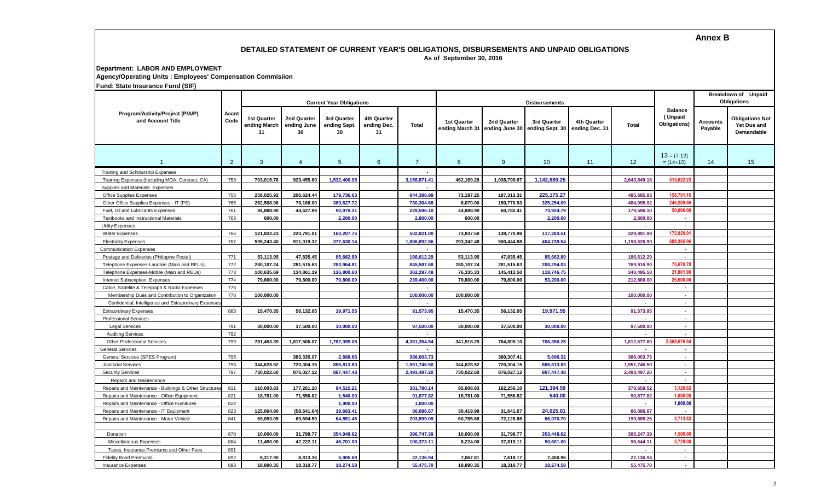# **Annex B**

#### **DETAILED STATEMENT OF CURRENT YEAR'S OBLIGATIONS, DISBURSEMENTS AND UNPAID OBLIGATIONS As of September 30, 2016**

**Department: LABOR AND EMPLOYMENT**

**Agency/Operating Units : Employees' Compensation Commisiion**

**Fund: State Insurance Fund (SIF)**

| Program/Activity/Project (P/A/P)<br>and Account Title  | Accnt<br>Code  | <b>Current Year Obligations</b>          |                                  |                                   |                                         |                |                    |                                               | Breakdown of Unpaid<br><b>Obligations</b> |                               |              |                                           |                     |                                                            |
|--------------------------------------------------------|----------------|------------------------------------------|----------------------------------|-----------------------------------|-----------------------------------------|----------------|--------------------|-----------------------------------------------|-------------------------------------------|-------------------------------|--------------|-------------------------------------------|---------------------|------------------------------------------------------------|
|                                                        |                | <b>1st Quarter</b><br>ending March<br>31 | 2nd Quarter<br>ending June<br>30 | 3rd Quarter<br>ending Sept.<br>30 | <b>4th Quarter</b><br>ending Dec.<br>31 | Total          | <b>1st Quarter</b> | 2nd Quarter<br>ending March 31 ending June 30 | 3rd Quarter<br>ending Sept. 30            | 4th Quarter<br>ending Dec. 31 | Total        | <b>Balance</b><br>(Unpaid<br>Obligations) | Accounts<br>Payable | <b>Obligations Not</b><br>Yet Due and<br><b>Demandable</b> |
| $\overline{1}$                                         | $\overline{2}$ | $\mathbf{3}$                             | $\overline{4}$                   | $5\overline{)}$                   | 6                                       | $\overline{7}$ | 8                  | 9                                             | 10 <sup>°</sup>                           | 11                            | 12           | $13 = (7-12)$<br>$= (14+15)$              | 14                  | 15                                                         |
| Training and Scholarship Expenses                      |                |                                          |                                  |                                   |                                         |                |                    |                                               |                                           |                               |              |                                           |                     |                                                            |
| Training Expenses (Including MOA, Contract, CA)        | 753            | 703,015.76                               | 923,455.60                       | 1,532,400.05                      |                                         | 3,158,871.4    | 462,169.26         | 1,038,799.67                                  | 1,142,880.25                              |                               | 2.643.849.1  | 515,022.23                                |                     |                                                            |
| Supplies and Materials Expenses                        |                |                                          |                                  |                                   |                                         |                |                    |                                               |                                           |                               |              |                                           |                     |                                                            |
| Office Supplies Expenses                               | 755            | 258,025.92                               | 206,624.44                       | 179,736.63                        |                                         | 644,386.99     | 73,197.25          | 187,313.31                                    | 225, 175. 27                              |                               | 485,685.8    | 158,701.16                                |                     |                                                            |
| Other Office Supplies Expenses - IT (PS)               | 765            | 262,508.96                               | 78,168.00                        | 389,627.72                        |                                         | 730,304.68     | 8,070.00           | 150,770.93                                    | 325,254.09                                |                               | 484,095.02   | 246,209.6                                 |                     |                                                            |
| Fuel. Oil and Lubricants Expenses                      | 761            | 94,888.90                                | 44,627.89                        | 90,079.31                         |                                         | 229,596.10     | 44,888.90          | 60,782.41                                     | 73,924.79                                 |                               | 179,596.10   | 50,000.0                                  |                     |                                                            |
| <b>Textbooks and Instructional Materials</b>           | 763            | 600.00                                   |                                  | 2,200.00                          |                                         | 2,800.00       | 600.00             |                                               | 2,200.00                                  |                               | 2,800.00     | . н.                                      |                     |                                                            |
| <b>Utility Expenses</b>                                |                |                                          |                                  |                                   |                                         |                |                    |                                               |                                           |                               |              |                                           |                     |                                                            |
| <b>Water Expenses</b>                                  | 766            | 121,822.23                               | 220.791.01                       | 160.207.76                        |                                         | 502,821.00     | 73,837.50          | 138,770.98                                    | 117,283.51                                |                               | 329,891.99   | 172.929.01                                |                     |                                                            |
| <b>Electricity Expenses</b>                            | 767            | 598,243.40                               | 911,019.32                       | 377,630.14                        |                                         | 1,886,892.86   | 293,342.48         | 500,444.88                                    | 404,739.54                                |                               | 1,198,526.90 | 688.365.96                                |                     |                                                            |
| <b>Communication Expenses</b>                          |                |                                          |                                  |                                   |                                         |                |                    |                                               |                                           |                               |              | . .                                       |                     |                                                            |
| Postage and Deliveries (Philippine Postal)             | 771            | 53,113.95                                | 47,835.45                        | 85.662.89                         |                                         | 186,612.29     | 53,113.95          | 47,835.45                                     | 85,662.89                                 |                               | 186.612.29   | . .                                       |                     |                                                            |
| Telephone Expenses-Landline (Main and REUs)            | 772            | 280,107.24                               | 281,515.63                       | 283,964.81                        |                                         | 845,587.68     | 280,107.24         | 281,515.63                                    | 208,294.03                                |                               | 769,916.90   | 75,670.78                                 |                     |                                                            |
| Telephone Expenses-Mobile (Main and REUs)              | 773            | 100.635.69                               | 134.861.19                       | 126,800.60                        |                                         | 362.297.48     | 76.335.33          | 145.413.50                                    | 118,746.75                                |                               | 340.495.58   | 21.801.90                                 |                     |                                                            |
| Internet Subscription Expenses                         | 774            | 79,800.00                                | 79,800.00                        | 79,800.00                         |                                         | 239,400.00     | 79,800.00          | 79,800.00                                     | 53,200.00                                 |                               | 212,800.00   | 26,600.00                                 |                     |                                                            |
| Cable, Sattelite & Telegraph & Radio Expenses          | 775            |                                          |                                  |                                   |                                         |                |                    |                                               |                                           |                               |              | a.                                        |                     |                                                            |
| Membership Dues and Contribution to Organization       | 778            | 100,000.00                               |                                  |                                   |                                         | 100,000.00     | 100,000.00         |                                               |                                           |                               | 100,000.00   | $\sim$                                    |                     |                                                            |
| Confidential, Intelligence and Extraordinary Expenses  |                |                                          |                                  |                                   |                                         |                |                    |                                               |                                           |                               |              | $\mathbf{r}$                              |                     |                                                            |
| <b>Extraordinary Expenses</b>                          | 883            | 15,470.35                                | 56,132.05                        | 19,971.55                         |                                         | 91,573.95      | 15,470.35          | 56,132.05                                     | 19,971.55                                 |                               | 91,573.95    | a.                                        |                     |                                                            |
| <b>Professional Services</b>                           |                |                                          |                                  |                                   |                                         |                |                    |                                               |                                           |                               |              | a.                                        |                     |                                                            |
| <b>Legal Services</b>                                  | 791            | 30,000.00                                | 37,500.00                        | 30,000.00                         |                                         | 97,500.00      | 30,000.00          | 37,500.00                                     | 30,000.00                                 |                               | 97,500.00    | n.                                        |                     |                                                            |
| <b>Auditing Services</b>                               | 792            |                                          |                                  |                                   |                                         |                |                    |                                               |                                           |                               |              |                                           |                     |                                                            |
| <b>Other Professional Services</b>                     | 799            | 781,453.39                               | 1,817,506.07                     | 1,782,395.08                      |                                         | 4,381,354.54   | 341,518.25         | 764.809.10                                    | 706,350.25                                |                               | 1,812,677.60 | 2,568,676.94                              |                     |                                                            |
| <b>General Services</b>                                |                |                                          |                                  |                                   |                                         |                |                    |                                               |                                           |                               |              |                                           |                     |                                                            |
| General Services (SPES Program)                        | 795            |                                          | 383.335.07                       | 2.668.66                          |                                         | 386,003.73     |                    | 380.307.41                                    | 5.696.32                                  |                               | 386.003.7    | ×.                                        |                     |                                                            |
| <b>Janitorial Services</b>                             | 796            | 344.628.52                               | 720.304.15                       | 886.813.83                        |                                         | 1,951,746.50   | 344.628.52         | 720.304.15                                    | 886.813.83                                |                               | 1,951,746.50 | ×.                                        |                     |                                                            |
| <b>Security Services</b>                               | 797            | 730,022.60                               | 876,027.12                       | 887,447.48                        |                                         | 2,493,497.20   | 730,022.60         | 876,027.12                                    | 887,447.48                                |                               | 2,493,497.20 | $\sim$                                    |                     |                                                            |
| Repairs and Maintenance                                |                |                                          |                                  |                                   |                                         |                |                    |                                               |                                           |                               |              |                                           |                     |                                                            |
| Repairs and Maintenance - Buildings & Other Structures | 811            | 110,003.83                               | 177,261.10                       | 94,515.21                         |                                         | 381,780.14     | 95,008.83          | 162,256.10                                    | 121,394.59                                |                               | 378,659.52   | 3.120.62                                  |                     |                                                            |
| Repairs and Maintenance - Office Equipment             | 821            | 18,781.00                                | 71,556.82                        | 1.540.00                          |                                         | 91,877.82      | 18,781.00          | 71,556.82                                     | 540.00                                    |                               | 90,877.82    | 1.000.00                                  |                     |                                                            |
| Repairs and Maintenance - Office Furnitures            | 822            |                                          |                                  | 1.000.00                          |                                         | 1,000.00       |                    |                                               |                                           |                               |              | 1,000.00                                  |                     |                                                            |
| Repairs and Maintenance - IT Equipment                 | 823            | 125,064.90                               | (58, 641.64)                     | 19,663.41                         |                                         | 86,086.67      | 30,419.99          | 31,641.67                                     | 24,025.01                                 |                               | 86,086.67    |                                           |                     |                                                            |
| Repairs and Maintenance - Motor Vehicle                | 841            | 69,053.05                                | 69,694.59                        | 64,851.45                         |                                         | 203,599.09     | 60,785.68          | 72,128.88                                     | 66,970.70                                 |                               | 199,885.26   | 3,713.83                                  |                     |                                                            |
|                                                        |                |                                          |                                  |                                   |                                         |                |                    |                                               |                                           |                               |              |                                           |                     |                                                            |
| Donation                                               | 878            | 10,000.00                                | 31,798.77                        | 354,948.62                        |                                         | 396,747.39     | 10,000.00          | 31,798.77                                     | 353,448.62                                |                               | 395,247.39   | 1.500.00                                  |                     |                                                            |
| Miscellaneous Expenses                                 | 884            | 11,450.00                                | 42,222.11                        | 46,701.00                         |                                         | 100,373.11     | 8,224.00           | 37,819.11                                     | 50,601.00                                 |                               | 96,644.1     | 3,729.00                                  |                     |                                                            |
| Taxes, Insurance Premiums and Other Fees               | 891            |                                          |                                  |                                   |                                         |                |                    |                                               |                                           |                               |              | ×.                                        |                     |                                                            |
| <b>Fidelity Bond Premiums</b>                          | 892            | 8,317.90                                 | 8.813.36                         | 5.005.68                          |                                         | 22.136.94      | 7,067.81           | 7.618.17                                      | 7.450.96                                  |                               | 22.136.94    | $\sim$                                    |                     |                                                            |
| <b>Insurance Expenses</b>                              | 893            | 18.890.35                                | 18.310.77                        | 18.274.58                         |                                         | 55.475.70      | 18.890.35          | 18,310.77                                     | 18,274.58                                 |                               | 55.475.70    | a.                                        |                     |                                                            |